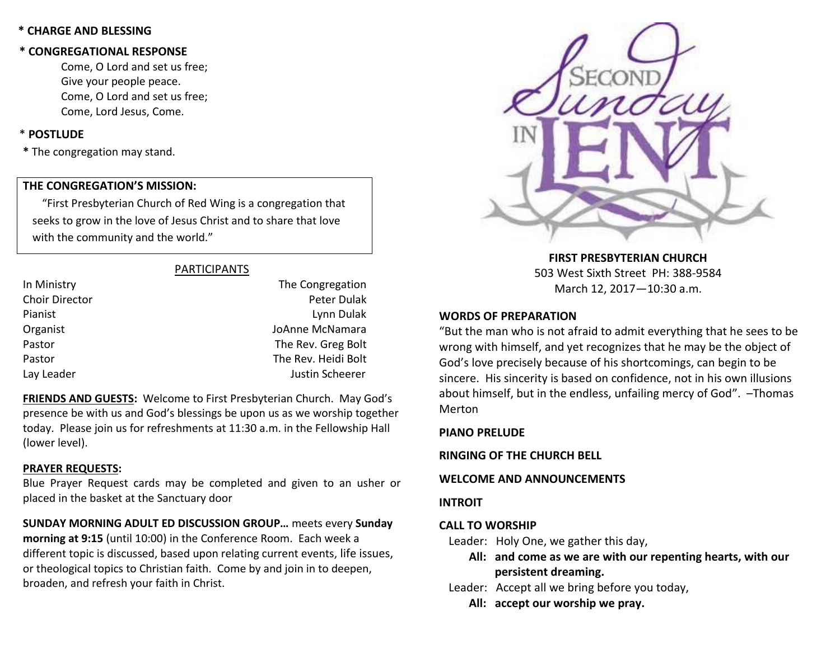## **\* CHARGE AND BLESSING**

## **\* CONGREGATIONAL RESPONSE**

Come, O Lord and set us free; Give your people peace. Come, O Lord and set us free; Come, Lord Jesus, Come.

## \* **POSTLUDE**

**\*** The congregation may stand.

## **THE CONGREGATION'S MISSION:**

"First Presbyterian Church of Red Wing is a congregation that seeks to grow in the love of Jesus Christ and to share that love with the community and the world."

## PARTICIPANTS

| In Ministry    | The Congregation    |
|----------------|---------------------|
| Choir Director | Peter Dulak         |
| Pianist        | Lynn Dulak          |
| Organist       | JoAnne McNamara     |
| Pastor         | The Rev. Greg Bolt  |
| Pastor         | The Rev. Heidi Bolt |
| Lay Leader     | Justin Scheerer     |
|                |                     |

**FRIENDS AND GUESTS:** Welcome to First Presbyterian Church. May God's presence be with us and God's blessings be upon us as we worship together today. Please join us for refreshments at 11:30 a.m. in the Fellowship Hall (lower level).

## **PRAYER REQUESTS:**

Blue Prayer Request cards may be completed and given to an usher or placed in the basket at the Sanctuary door

**SUNDAY MORNING ADULT ED DISCUSSION GROUP…** meets every **Sunday morning at 9:15** (until 10:00) in the Conference Room. Each week a different topic is discussed, based upon relating current events, life issues, or theological topics to Christian faith. Come by and join in to deepen, broaden, and refresh your faith in Christ.



**FIRST PRESBYTERIAN CHURCH** 503 West Sixth Street PH: 388-9584 March 12, 2017—10:30 a.m.

## **WORDS OF PREPARATION**

"But the man who is not afraid to admit everything that he sees to be wrong with himself, and yet recognizes that he may be the object of God's love precisely because of his shortcomings, can begin to be sincere. His sincerity is based on confidence, not in his own illusions about himself, but in the endless, unfailing mercy of God". –Thomas Merton

## **PIANO PRELUDE**

**RINGING OF THE CHURCH BELL**

## **WELCOME AND ANNOUNCEMENTS**

**INTROIT**

## **CALL TO WORSHIP**

Leader: Holy One, we gather this day,

- **All: and come as we are with our repenting hearts, with our persistent dreaming.**
- Leader: Accept all we bring before you today,
	- **All: accept our worship we pray.**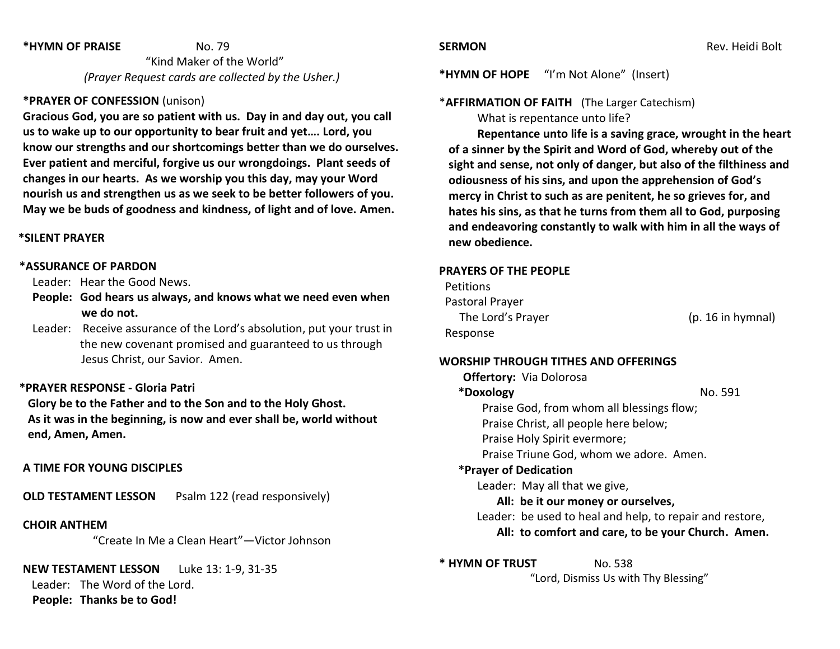#### **\*HYMN OF PRAISE** No. 79

 "Kind Maker of the World" *(Prayer Request cards are collected by the Usher.)*

## **\*PRAYER OF CONFESSION** (unison)

**Gracious God, you are so patient with us. Day in and day out, you call us to wake up to our opportunity to bear fruit and yet…. Lord, you know our strengths and our shortcomings better than we do ourselves. Ever patient and merciful, forgive us our wrongdoings. Plant seeds of changes in our hearts. As we worship you this day, may your Word nourish us and strengthen us as we seek to be better followers of you. May we be buds of goodness and kindness, of light and of love. Amen.**

#### **\*SILENT PRAYER**

#### **\*ASSURANCE OF PARDON**

Leader: Hear the Good News.

- **People: God hears us always, and knows what we need even when we do not.**
- Leader: Receive assurance of the Lord's absolution, put your trust in the new covenant promised and guaranteed to us through Jesus Christ, our Savior. Amen.

#### **\*PRAYER RESPONSE - Gloria Patri**

 **Glory be to the Father and to the Son and to the Holy Ghost. As it was in the beginning, is now and ever shall be, world without end, Amen, Amen.**

#### **A TIME FOR YOUNG DISCIPLES**

**OLD TESTAMENT LESSON** Psalm 122 (read responsively)

### **CHOIR ANTHEM**

"Create In Me a Clean Heart"—Victor Johnson

#### **NEW TESTAMENT LESSON** Luke 13: 1-9, 31-35

 Leader: The Word of the Lord. **People: Thanks be to God!**

**\*HYMN OF HOPE** "I'm Not Alone" (Insert)

#### \***AFFIRMATION OF FAITH** (The Larger Catechism)

What is repentance unto life?

**Repentance unto life is a saving grace, wrought in the heart of a sinner by the Spirit and Word of God, whereby out of the sight and sense, not only of danger, but also of the filthiness and odiousness of his sins, and upon the apprehension of God's mercy in Christ to such as are penitent, he so grieves for, and hates his sins, as that he turns from them all to God, purposing and endeavoring constantly to walk with him in all the ways of new obedience.**

### **PRAYERS OF THE PEOPLE**

| <b>Petitions</b>  |    |
|-------------------|----|
| Pastoral Prayer   |    |
| The Lord's Prayer | (r |
| Response          |    |

p. 16 in hymnal)

#### **WORSHIP THROUGH TITHES AND OFFERINGS**

**Offertory:** Via Dolorosa **\*Doxology** No. 591 Praise God, from whom all blessings flow; Praise Christ, all people here below; Praise Holy Spirit evermore; Praise Triune God, whom we adore. Amen. **\*Prayer of Dedication** Leader: May all that we give, **All: be it our money or ourselves,** Leader: be used to heal and help, to repair and restore, **All: to comfort and care, to be your Church. Amen.**

**\* HYMN OF TRUST** No. 538 "Lord, Dismiss Us with Thy Blessing"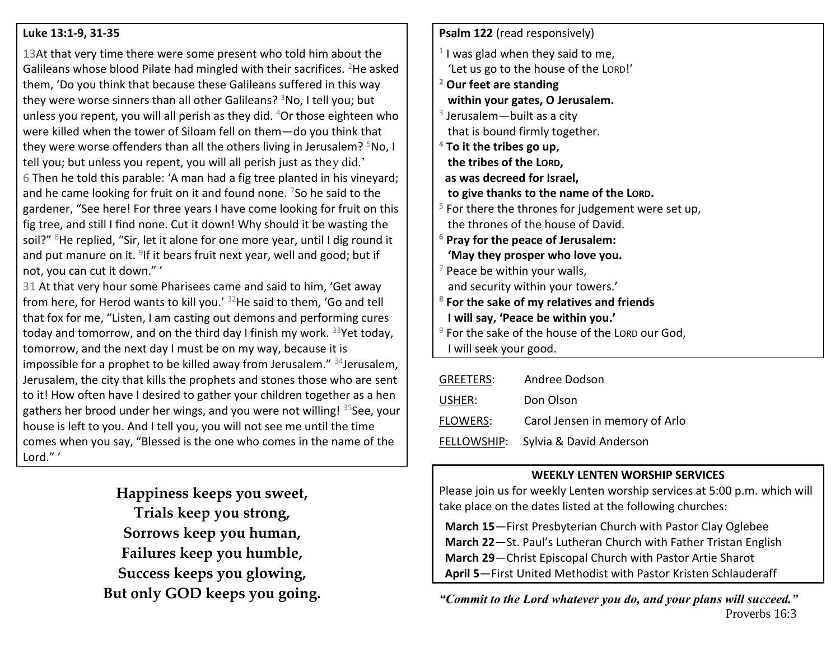## **Luke 13:1-9, 31-35**

13At that very time there were some present who told him about the Galileans whose blood Pilate had mingled with their sacrifices. <sup>2</sup>He asked them, 'Do you think that because these Galileans suffered in this way they were worse sinners than all other Galileans?  $3N$ o, I tell you; but unless you repent, you will all perish as they did.  $4$ Or those eighteen who were killed when the tower of Siloam fell on them—do you think that they were worse offenders than all the others living in Jerusalem?  $5N_0$ , I tell you; but unless you repent, you will all perish just as they did.' 6 Then he told this parable: 'A man had a fig tree planted in his vineyard; and he came looking for fruit on it and found none.  $7$ So he said to the gardener, "See here! For three years I have come looking for fruit on this fig tree, and still I find none. Cut it down! Why should it be wasting the soil?" <sup>8</sup>He replied, "Sir, let it alone for one more year, until I dig round it and put manure on it. <sup>9</sup>If it bears fruit next year, well and good; but if not, you can cut it down." '

31 At that very hour some Pharisees came and said to him, 'Get away from here, for Herod wants to kill you.' <sup>32</sup>He said to them, 'Go and tell that fox for me, "Listen, I am casting out demons and performing cures today and tomorrow, and on the third day I finish my work.  $33$ Yet today, tomorrow, and the next day I must be on my way, because it is impossible for a prophet to be killed away from Jerusalem." 34 Jerusalem, Jerusalem, the city that kills the prophets and stones those who are sent to it! How often have I desired to gather your children together as a hen gathers her brood under her wings, and you were not willing! <sup>35</sup>See, your house is left to you. And I tell you, you will not see me until the time comes when you say, "Blessed is the one who comes in the name of the Lord." '

> **Happiness keeps you sweet, Trials keep you strong, Sorrows keep you human, Failures keep you humble, Success keeps you glowing, But only GOD keeps you going.**

| Psalm 122 (read responsively)                         |
|-------------------------------------------------------|
| $1$ I was glad when they said to me,                  |
| 'Let us go to the house of the LORD!'                 |
| <sup>2</sup> Our feet are standing                    |
| within your gates, O Jerusalem.                       |
| $3$ Jerusalem – built as a city                       |
| that is bound firmly together.                        |
| $4$ To it the tribes go up,                           |
| the tribes of the LORD,                               |
| as was decreed for Israel,                            |
| to give thanks to the name of the LORD.               |
| $5$ For there the thrones for judgement were set up,  |
| the thrones of the house of David.                    |
| $6$ Pray for the peace of Jerusalem:                  |
| 'May they prosper who love you.                       |
| $7$ Peace be within your walls,                       |
| and security within your towers.'                     |
| <sup>8</sup> For the sake of my relatives and friends |
| I will say, 'Peace be within you.'                    |
| $9$ For the sake of the house of the LORD our God,    |
| I will seek your good.                                |
|                                                       |

| <b>GREETERS:</b> | Andree Dodson                  |
|------------------|--------------------------------|
| USHER:           | Don Olson                      |
| <b>FLOWERS:</b>  | Carol Jensen in memory of Arlo |
| FELLOWSHIP:      | Sylvia & David Anderson        |
|                  |                                |

## **WEEKLY LENTEN WORSHIP SERVICES**

Please join us for weekly Lenten worship services at 5:00 p.m. which will take place on the dates listed at the following churches:

 **March 15**—First Presbyterian Church with Pastor Clay Oglebee  **March 22**—St. Paul's Lutheran Church with Father Tristan English **March 29**—Christ Episcopal Church with Pastor Artie Sharot  **April 5**—First United Methodist with Pastor Kristen Schlauderaff

*"Commit to the Lord whatever you do, and your plans will succeed."* Proverbs 16:3